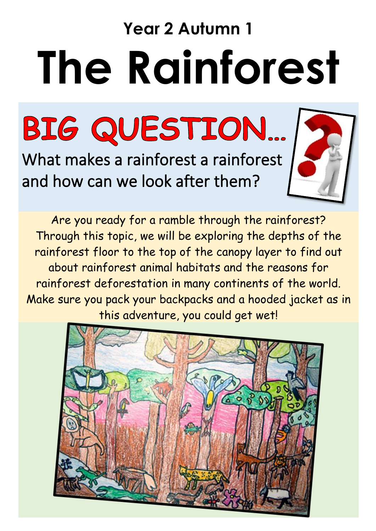# **Year 2 Autumn 1 The Rainforest**

BIG QUESTION...

What makes a rainforest a rainforest and how can we look after them?



Are you ready for a ramble through the rainforest? Through this topic, we will be exploring the depths of the rainforest floor to the top of the canopy layer to find out about rainforest animal habitats and the reasons for rainforest deforestation in many continents of the world. Make sure you pack your backpacks and a hooded jacket as in this adventure, you could get wet!

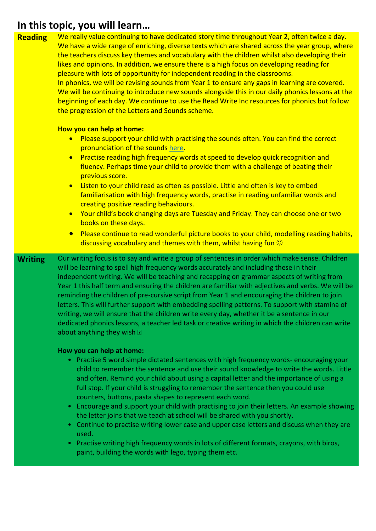| <b>Reading</b> | We really value continuing to have dedicated story time throughout Year 2, often twice a day.<br>We have a wide range of enriching, diverse texts which are shared across the year group, where<br>the teachers discuss key themes and vocabulary with the children whilst also developing their<br>likes and opinions. In addition, we ensure there is a high focus on developing reading for<br>pleasure with lots of opportunity for independent reading in the classrooms.<br>In phonics, we will be revising sounds from Year 1 to ensure any gaps in learning are covered.<br>We will be continuing to introduce new sounds alongside this in our daily phonics lessons at the<br>beginning of each day. We continue to use the Read Write Inc resources for phonics but follow<br>the progression of the Letters and Sounds scheme. |
|----------------|--------------------------------------------------------------------------------------------------------------------------------------------------------------------------------------------------------------------------------------------------------------------------------------------------------------------------------------------------------------------------------------------------------------------------------------------------------------------------------------------------------------------------------------------------------------------------------------------------------------------------------------------------------------------------------------------------------------------------------------------------------------------------------------------------------------------------------------------|
|                | How you can help at home:                                                                                                                                                                                                                                                                                                                                                                                                                                                                                                                                                                                                                                                                                                                                                                                                                  |
|                | Please support your child with practising the sounds often. You can find the correct<br>$\bullet$<br>pronunciation of the sounds here.                                                                                                                                                                                                                                                                                                                                                                                                                                                                                                                                                                                                                                                                                                     |
|                | Practise reading high frequency words at speed to develop quick recognition and<br>$\bullet$<br>fluency. Perhaps time your child to provide them with a challenge of beating their<br>previous score.                                                                                                                                                                                                                                                                                                                                                                                                                                                                                                                                                                                                                                      |
|                | Listen to your child read as often as possible. Little and often is key to embed<br>$\bullet$<br>familiarisation with high frequency words, practise in reading unfamiliar words and<br>creating positive reading behaviours.<br>Your child's book changing days are Tuesday and Friday. They can choose one or two<br>$\bullet$                                                                                                                                                                                                                                                                                                                                                                                                                                                                                                           |
|                | books on these days.<br>Please continue to read wonderful picture books to your child, modelling reading habits,<br>$\bullet$<br>discussing vocabulary and themes with them, whilst having fun $\odot$                                                                                                                                                                                                                                                                                                                                                                                                                                                                                                                                                                                                                                     |
| <b>Writing</b> | Our writing focus is to say and write a group of sentences in order which make sense. Children<br>will be learning to spell high frequency words accurately and including these in their<br>independent writing. We will be teaching and recapping on grammar aspects of writing from<br>Year 1 this half term and ensuring the children are familiar with adjectives and verbs. We will be<br>reminding the children of pre-cursive script from Year 1 and encouraging the children to join<br>letters. This will further support with embedding spelling patterns. To support with stamina of<br>writing, we will ensure that the children write every day, whether it be a sentence in our<br>dedicated phonics lessons, a teacher led task or creative writing in which the children can write<br>about anything they wish ?           |
|                | How you can help at home:<br>$\bullet$ - Practice 5 word simple dictated sentences with high frequency words, encouraging your                                                                                                                                                                                                                                                                                                                                                                                                                                                                                                                                                                                                                                                                                                             |

- Practise 5 word simple dictated sentences with high frequency words- encouraging your child to remember the sentence and use their sound knowledge to write the words. Little and often. Remind your child about using a capital letter and the importance of using a full stop. If your child is struggling to remember the sentence then you could use counters, buttons, pasta shapes to represent each word.
- Encourage and support your child with practising to join their letters. An example showing the letter joins that we teach at school will be shared with you shortly.
- Continue to practise writing lower case and upper case letters and discuss when they are used.
- Practise writing high frequency words in lots of different formats, crayons, with biros, paint, building the words with lego, typing them etc.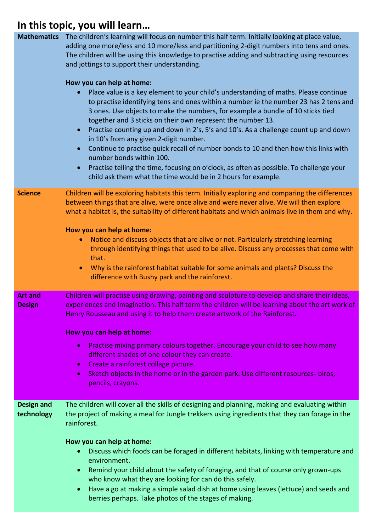| <b>Mathematics</b>              | The children's learning will focus on number this half term. Initially looking at place value,<br>adding one more/less and 10 more/less and partitioning 2-digit numbers into tens and ones.<br>The children will be using this knowledge to practise adding and subtracting using resources<br>and jottings to support their understanding.<br>How you can help at home:<br>Place value is a key element to your child's understanding of maths. Please continue<br>$\bullet$<br>to practise identifying tens and ones within a number ie the number 23 has 2 tens and<br>3 ones. Use objects to make the numbers, for example a bundle of 10 sticks tied<br>together and 3 sticks on their own represent the number 13.<br>Practise counting up and down in 2's, 5's and 10's. As a challenge count up and down<br>$\bullet$<br>in 10's from any given 2-digit number.<br>Continue to practise quick recall of number bonds to 10 and then how this links with<br>number bonds within 100.<br>Practise telling the time, focusing on o'clock, as often as possible. To challenge your<br>child ask them what the time would be in 2 hours for example. |
|---------------------------------|----------------------------------------------------------------------------------------------------------------------------------------------------------------------------------------------------------------------------------------------------------------------------------------------------------------------------------------------------------------------------------------------------------------------------------------------------------------------------------------------------------------------------------------------------------------------------------------------------------------------------------------------------------------------------------------------------------------------------------------------------------------------------------------------------------------------------------------------------------------------------------------------------------------------------------------------------------------------------------------------------------------------------------------------------------------------------------------------------------------------------------------------------------|
| <b>Science</b>                  | Children will be exploring habitats this term. Initially exploring and comparing the differences<br>between things that are alive, were once alive and were never alive. We will then explore<br>what a habitat is, the suitability of different habitats and which animals live in them and why.<br>How you can help at home:<br>Notice and discuss objects that are alive or not. Particularly stretching learning<br>$\bullet$<br>through identifying things that used to be alive. Discuss any processes that come with<br>that.<br>Why is the rainforest habitat suitable for some animals and plants? Discuss the<br>$\bullet$<br>difference with Bushy park and the rainforest.                                                                                                                                                                                                                                                                                                                                                                                                                                                                   |
| <b>Art and</b><br><b>Design</b> | Children will practise using drawing, painting and sculpture to develop and share their ideas,<br>experiences and imagination. This half term the children will be learning about the art work of<br>Henry Rousseau and using it to help them create artwork of the Rainforest.<br>How you can help at home:<br>Practise mixing primary colours together. Encourage your child to see how many<br>$\bullet$<br>different shades of one colour they can create.<br>Create a rainforest collage picture.<br>$\bullet$<br>Sketch objects in the home or in the garden park. Use different resources- biros,<br>$\bullet$<br>pencils, crayons.                                                                                                                                                                                                                                                                                                                                                                                                                                                                                                               |
| <b>Design and</b><br>technology | The children will cover all the skills of designing and planning, making and evaluating within<br>the project of making a meal for Jungle trekkers using ingredients that they can forage in the<br>rainforest.<br>How you can help at home:<br>Discuss which foods can be foraged in different habitats, linking with temperature and<br>environment.<br>Remind your child about the safety of foraging, and that of course only grown-ups<br>who know what they are looking for can do this safely.<br>Have a go at making a simple salad dish at home using leaves (lettuce) and seeds and<br>$\bullet$<br>berries perhaps. Take photos of the stages of making.                                                                                                                                                                                                                                                                                                                                                                                                                                                                                      |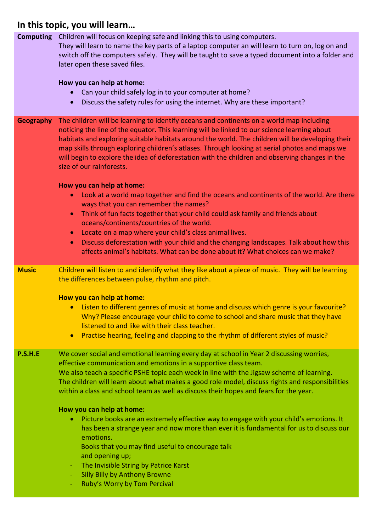| <b>Computing</b> | Children will focus on keeping safe and linking this to using computers.<br>They will learn to name the key parts of a laptop computer an will learn to turn on, log on and<br>switch off the computers safely. They will be taught to save a typed document into a folder and<br>later open these saved files.<br>How you can help at home:<br>Can your child safely log in to your computer at home?<br>Discuss the safety rules for using the internet. Why are these important?                                                                                                                                                                                                                                                                                                                                                                                                                 |
|------------------|-----------------------------------------------------------------------------------------------------------------------------------------------------------------------------------------------------------------------------------------------------------------------------------------------------------------------------------------------------------------------------------------------------------------------------------------------------------------------------------------------------------------------------------------------------------------------------------------------------------------------------------------------------------------------------------------------------------------------------------------------------------------------------------------------------------------------------------------------------------------------------------------------------|
| <b>Geography</b> | The children will be learning to identify oceans and continents on a world map including<br>noticing the line of the equator. This learning will be linked to our science learning about<br>habitats and exploring suitable habitats around the world. The children will be developing their<br>map skills through exploring children's atlases. Through looking at aerial photos and maps we<br>will begin to explore the idea of deforestation with the children and observing changes in the<br>size of our rainforests.                                                                                                                                                                                                                                                                                                                                                                         |
|                  | How you can help at home:<br>Look at a world map together and find the oceans and continents of the world. Are there<br>ways that you can remember the names?<br>Think of fun facts together that your child could ask family and friends about<br>$\bullet$<br>oceans/continents/countries of the world.<br>Locate on a map where your child's class animal lives.<br>$\bullet$<br>Discuss deforestation with your child and the changing landscapes. Talk about how this<br>$\bullet$<br>affects animal's habitats. What can be done about it? What choices can we make?                                                                                                                                                                                                                                                                                                                          |
| <b>Music</b>     | Children will listen to and identify what they like about a piece of music. They will be learning<br>the differences between pulse, rhythm and pitch.<br>How you can help at home:<br>• Listen to different genres of music at home and discuss which genre is your favourite?<br>Why? Please encourage your child to come to school and share music that they have<br>listened to and like with their class teacher.<br>Practise hearing, feeling and clapping to the rhythm of different styles of music?<br>$\bullet$                                                                                                                                                                                                                                                                                                                                                                            |
| <b>P.S.H.E</b>   | We cover social and emotional learning every day at school in Year 2 discussing worries,<br>effective communication and emotions in a supportive class team.<br>We also teach a specific PSHE topic each week in line with the Jigsaw scheme of learning.<br>The children will learn about what makes a good role model, discuss rights and responsibilities<br>within a class and school team as well as discuss their hopes and fears for the year.<br>How you can help at home:<br>Picture books are an extremely effective way to engage with your child's emotions. It<br>$\bullet$<br>has been a strange year and now more than ever it is fundamental for us to discuss our<br>emotions.<br>Books that you may find useful to encourage talk<br>and opening up;<br>The Invisible String by Patrice Karst<br>$\equiv$<br><b>Silly Billy by Anthony Browne</b><br>Ruby's Worry by Tom Percival |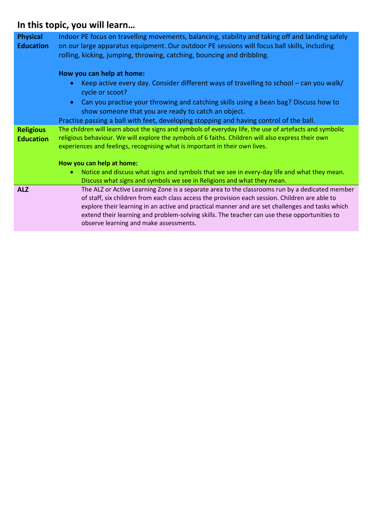| <b>Physical</b><br><b>Education</b>  | Indoor PE focus on travelling movements, balancing, stability and taking off and landing safely<br>on our large apparatus equipment. Our outdoor PE sessions will focus ball skills, including<br>rolling, kicking, jumping, throwing, catching, bouncing and dribbling.                                                                                                                                                                      |
|--------------------------------------|-----------------------------------------------------------------------------------------------------------------------------------------------------------------------------------------------------------------------------------------------------------------------------------------------------------------------------------------------------------------------------------------------------------------------------------------------|
|                                      | How you can help at home:                                                                                                                                                                                                                                                                                                                                                                                                                     |
|                                      | Keep active every day. Consider different ways of travelling to school – can you walk/<br>$\bullet$<br>cycle or scoot?                                                                                                                                                                                                                                                                                                                        |
|                                      | Can you practise your throwing and catching skills using a bean bag? Discuss how to<br>$\bullet$<br>show someone that you are ready to catch an object.                                                                                                                                                                                                                                                                                       |
|                                      | Practise passing a ball with feet, developing stopping and having control of the ball.                                                                                                                                                                                                                                                                                                                                                        |
| <b>Religious</b><br><b>Education</b> | The children will learn about the signs and symbols of everyday life, the use of artefacts and symbolic<br>religious behaviour. We will explore the symbols of 6 faiths. Children will also express their own<br>experiences and feelings, recognising what is important in their own lives.                                                                                                                                                  |
|                                      | How you can help at home:                                                                                                                                                                                                                                                                                                                                                                                                                     |
|                                      | Notice and discuss what signs and symbols that we see in every-day life and what they mean.<br>$\bullet$<br>Discuss what signs and symbols we see in Religions and what they mean.                                                                                                                                                                                                                                                            |
| <b>ALZ</b>                           | The ALZ or Active Learning Zone is a separate area to the classrooms run by a dedicated member<br>of staff, six children from each class access the provision each session. Children are able to<br>explore their learning in an active and practical manner and are set challenges and tasks which<br>extend their learning and problem-solving skills. The teacher can use these opportunities to<br>observe learning and make assessments. |